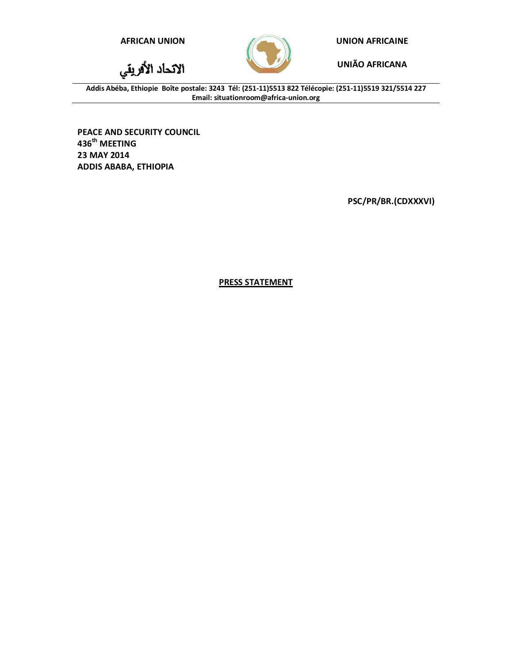الاتحاد الأفريقي



**AFRICAN UNION UNION AFRICAINE**

**UNIÃO AFRICANA**

**Addis Abéba, Ethiopie Boîte postale: 3243 Tél: (251-11)5513 822 Télécopie: (251-11)5519 321/5514 227 Email: situationroom@africa-union.org**

**PEACE AND SECURITY COUNCIL 436th MEETING 23 MAY 2014 ADDIS ABABA, ETHIOPIA**

**PSC/PR/BR.(CDXXXVI)**

**PRESS STATEMENT**